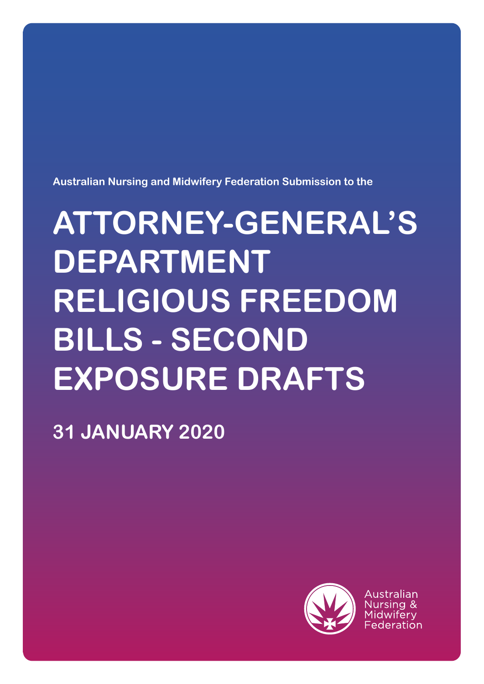

Australian

# **31 JANUARY 2020**

# **ATTORNEY-GENERAL'S DEPARTMENT RELIGIOUS FREEDOM BILLS - SECOND EXPOSURE DRAFTS**

**Australian Nursing and Midwifery Federation Submission to the**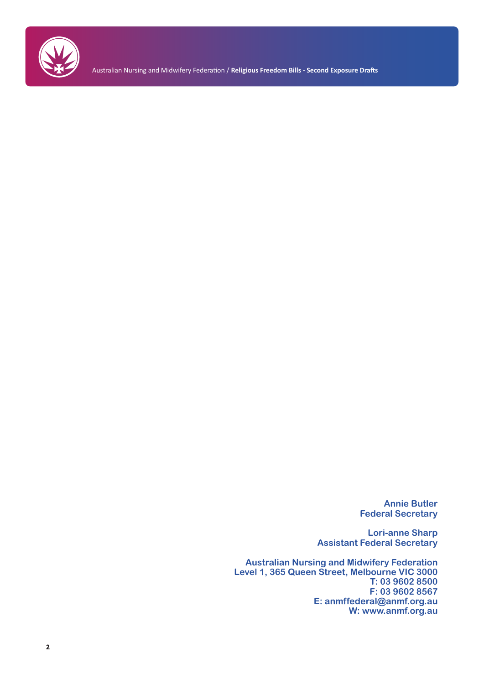

Australian Nursing and Midwifery Federation / **Religious Freedom Bills - Second Exposure Drafts**

**Annie Butler Federal Secretary**

**Lori-anne Sharp Assistant Federal Secretary**

**Australian Nursing and Midwifery Federation Level 1, 365 Queen Street, Melbourne VIC 3000 T: 03 9602 8500 F: 03 9602 8567 E: anmffederal@anmf.org.au W: www.anmf.org.au**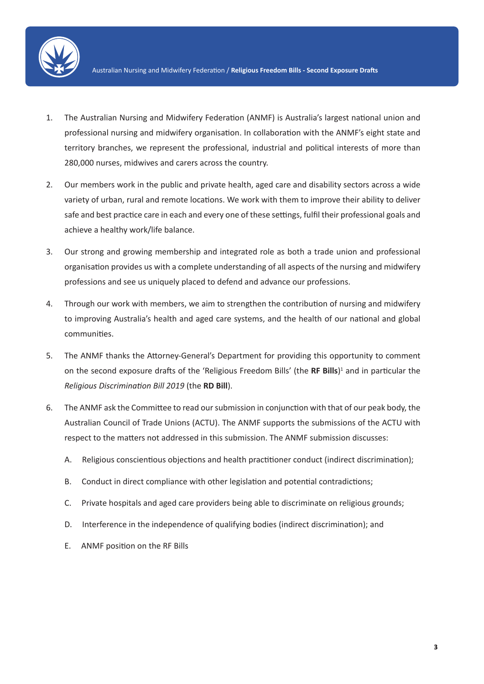

- 1. The Australian Nursing and Midwifery Federation (ANMF) is Australia's largest national union and professional nursing and midwifery organisation. In collaboration with the ANMF's eight state and territory branches, we represent the professional, industrial and political interests of more than 280,000 nurses, midwives and carers across the country.
- 2. Our members work in the public and private health, aged care and disability sectors across a wide variety of urban, rural and remote locations. We work with them to improve their ability to deliver safe and best practice care in each and every one of these settings, fulfil their professional goals and achieve a healthy work/life balance.
- 3. Our strong and growing membership and integrated role as both a trade union and professional organisation provides us with a complete understanding of all aspects of the nursing and midwifery professions and see us uniquely placed to defend and advance our professions.
- 4. Through our work with members, we aim to strengthen the contribution of nursing and midwifery to improving Australia's health and aged care systems, and the health of our national and global communities.
- 5. The ANMF thanks the Attorney-General's Department for providing this opportunity to comment on the second exposure drafts of the 'Religious Freedom Bills' (the **RF Bills**) 1 and in particular the *Religious Discrimination Bill 2019* (the **RD Bill**).
- 6. The ANMF ask the Committee to read our submission in conjunction with that of our peak body, the Australian Council of Trade Unions (ACTU). The ANMF supports the submissions of the ACTU with respect to the matters not addressed in this submission. The ANMF submission discusses:
	- A. Religious conscientious objections and health practitioner conduct (indirect discrimination);
	- B. Conduct in direct compliance with other legislation and potential contradictions;
	- C. Private hospitals and aged care providers being able to discriminate on religious grounds;
	- D. Interference in the independence of qualifying bodies (indirect discrimination); and
	- E. ANMF position on the RF Bills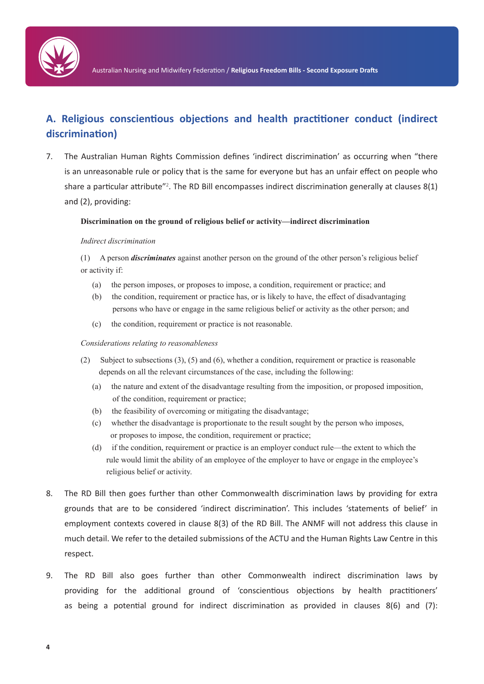

# **A. Religious conscientious objections and health practitioner conduct (indirect discrimination)**

7. The Australian Human Rights Commission defines 'indirect discrimination' as occurring when "there is an unreasonable rule or policy that is the same for everyone but has an unfair effect on people who share a particular attribute"<sup>2</sup>. The RD Bill encompasses indirect discrimination generally at clauses 8(1) and (2), providing:

#### **Discrimination on the ground of religious belief or activity—indirect discrimination**

#### *Indirect discrimination*

(1) A person *discriminates* against another person on the ground of the other person's religious belief or activity if:

- (a) the person imposes, or proposes to impose, a condition, requirement or practice; and
- (b) the condition, requirement or practice has, or is likely to have, the effect of disadvantaging persons who have or engage in the same religious belief or activity as the other person; and
- (c) the condition, requirement or practice is not reasonable.

#### *Considerations relating to reasonableness*

- (2) Subject to subsections (3), (5) and (6), whether a condition, requirement or practice is reasonable depends on all the relevant circumstances of the case, including the following:
	- (a) the nature and extent of the disadvantage resulting from the imposition, or proposed imposition, of the condition, requirement or practice;
	- (b) the feasibility of overcoming or mitigating the disadvantage;
	- (c) whether the disadvantage is proportionate to the result sought by the person who imposes, or proposes to impose, the condition, requirement or practice;
	- (d) if the condition, requirement or practice is an employer conduct rule—the extent to which the rule would limit the ability of an employee of the employer to have or engage in the employee's religious belief or activity.
- 8. The RD Bill then goes further than other Commonwealth discrimination laws by providing for extra grounds that are to be considered 'indirect discrimination'. This includes 'statements of belief' in employment contexts covered in clause 8(3) of the RD Bill. The ANMF will not address this clause in much detail. We refer to the detailed submissions of the ACTU and the Human Rights Law Centre in this respect.
- 9. The RD Bill also goes further than other Commonwealth indirect discrimination laws by providing for the additional ground of 'conscientious objections by health practitioners' as being a potential ground for indirect discrimination as provided in clauses 8(6) and (7):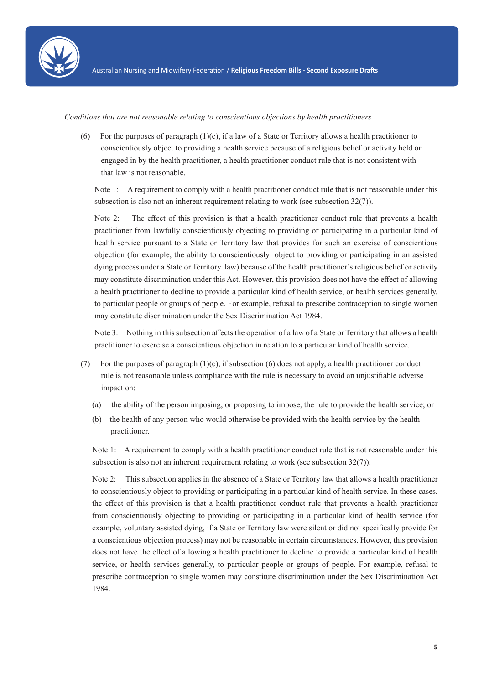

*Conditions that are not reasonable relating to conscientious objections by health practitioners*

(6) For the purposes of paragraph  $(1)(c)$ , if a law of a State or Territory allows a health practitioner to conscientiously object to providing a health service because of a religious belief or activity held or engaged in by the health practitioner, a health practitioner conduct rule that is not consistent with that law is not reasonable.

Note 1: A requirement to comply with a health practitioner conduct rule that is not reasonable under this subsection is also not an inherent requirement relating to work (see subsection 32(7)).

Note 2: The effect of this provision is that a health practitioner conduct rule that prevents a health practitioner from lawfully conscientiously objecting to providing or participating in a particular kind of health service pursuant to a State or Territory law that provides for such an exercise of conscientious objection (for example, the ability to conscientiously object to providing or participating in an assisted dying process under a State or Territory law) because of the health practitioner's religious belief or activity may constitute discrimination under this Act. However, this provision does not have the effect of allowing a health practitioner to decline to provide a particular kind of health service, or health services generally, to particular people or groups of people. For example, refusal to prescribe contraception to single women may constitute discrimination under the Sex Discrimination Act 1984.

Note 3: Nothing in this subsection affects the operation of a law of a State or Territory that allows a health practitioner to exercise a conscientious objection in relation to a particular kind of health service.

- (7) For the purposes of paragraph  $(1)(c)$ , if subsection  $(6)$  does not apply, a health practitioner conduct rule is not reasonable unless compliance with the rule is necessary to avoid an unjustifiable adverse impact on:
	- (a) the ability of the person imposing, or proposing to impose, the rule to provide the health service; or
	- (b) the health of any person who would otherwise be provided with the health service by the health practitioner.

Note 1: A requirement to comply with a health practitioner conduct rule that is not reasonable under this subsection is also not an inherent requirement relating to work (see subsection 32(7)).

Note 2: This subsection applies in the absence of a State or Territory law that allows a health practitioner to conscientiously object to providing or participating in a particular kind of health service. In these cases, the effect of this provision is that a health practitioner conduct rule that prevents a health practitioner from conscientiously objecting to providing or participating in a particular kind of health service (for example, voluntary assisted dying, if a State or Territory law were silent or did not specifically provide for a conscientious objection process) may not be reasonable in certain circumstances. However, this provision does not have the effect of allowing a health practitioner to decline to provide a particular kind of health service, or health services generally, to particular people or groups of people. For example, refusal to prescribe contraception to single women may constitute discrimination under the Sex Discrimination Act 1984.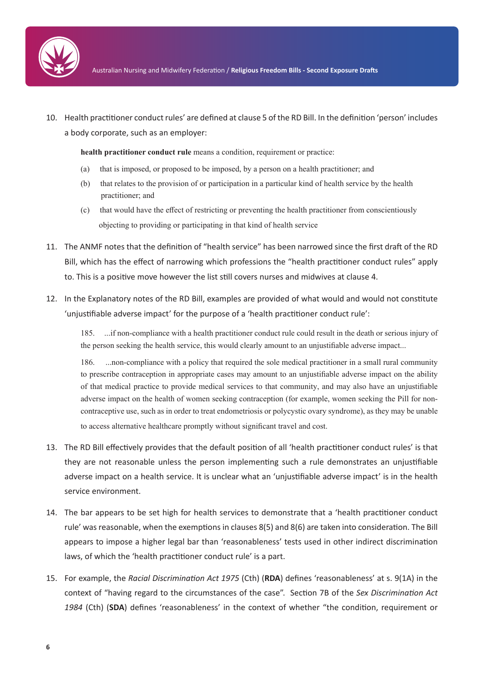

10. Health practitioner conduct rules' are defined at clause 5 of the RD Bill. In the definition 'person' includes a body corporate, such as an employer:

**health practitioner conduct rule** means a condition, requirement or practice:

- (a) that is imposed, or proposed to be imposed, by a person on a health practitioner; and
- (b) that relates to the provision of or participation in a particular kind of health service by the health practitioner; and
- (c) that would have the effect of restricting or preventing the health practitioner from conscientiously objecting to providing or participating in that kind of health service
- 11. The ANMF notes that the definition of "health service" has been narrowed since the first draft of the RD Bill, which has the effect of narrowing which professions the "health practitioner conduct rules" apply to. This is a positive move however the list still covers nurses and midwives at clause 4.
- 12. In the Explanatory notes of the RD Bill, examples are provided of what would and would not constitute 'unjustifiable adverse impact' for the purpose of a 'health practitioner conduct rule':

185. ...if non-compliance with a health practitioner conduct rule could result in the death or serious injury of the person seeking the health service, this would clearly amount to an unjustifiable adverse impact...

186. ...non-compliance with a policy that required the sole medical practitioner in a small rural community to prescribe contraception in appropriate cases may amount to an unjustifiable adverse impact on the ability of that medical practice to provide medical services to that community, and may also have an unjustifiable adverse impact on the health of women seeking contraception (for example, women seeking the Pill for noncontraceptive use, such as in order to treat endometriosis or polycystic ovary syndrome), as they may be unable to access alternative healthcare promptly without significant travel and cost.

- 13. The RD Bill effectively provides that the default position of all 'health practitioner conduct rules' is that they are not reasonable unless the person implementing such a rule demonstrates an unjustifiable adverse impact on a health service. It is unclear what an 'unjustifiable adverse impact' is in the health service environment.
- 14. The bar appears to be set high for health services to demonstrate that a 'health practitioner conduct rule' was reasonable, when the exemptions in clauses 8(5) and 8(6) are taken into consideration. The Bill appears to impose a higher legal bar than 'reasonableness' tests used in other indirect discrimination laws, of which the 'health practitioner conduct rule' is a part.
- 15. For example, the *Racial Discrimination Act 1975* (Cth) (**RDA**) defines 'reasonableness' at s. 9(1A) in the context of "having regard to the circumstances of the case". Section 7B of the *Sex Discrimination Act 1984* (Cth) (**SDA**) defines 'reasonableness' in the context of whether "the condition, requirement or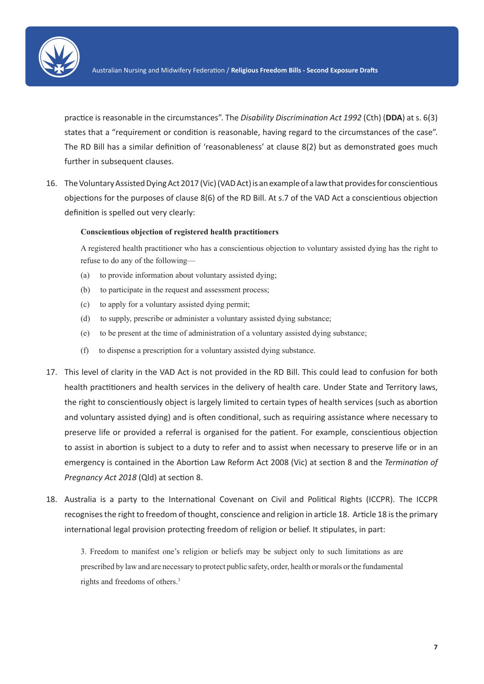

practice is reasonable in the circumstances". The *Disability Discrimination Act 1992* (Cth) (**DDA**) at s. 6(3) states that a "requirement or condition is reasonable, having regard to the circumstances of the case". The RD Bill has a similar definition of 'reasonableness' at clause 8(2) but as demonstrated goes much further in subsequent clauses.

16. The Voluntary Assisted Dying Act 2017 (Vic) (VAD Act) is an example of a law that provides for conscientious objections for the purposes of clause 8(6) of the RD Bill. At s.7 of the VAD Act a conscientious objection definition is spelled out very clearly:

#### **Conscientious objection of registered health practitioners**

A registered health practitioner who has a conscientious objection to voluntary assisted dying has the right to refuse to do any of the following—

- (a) to provide information about voluntary assisted dying;
- (b) to participate in the request and assessment process;
- (c) to apply for a voluntary assisted dying permit;
- (d) to supply, prescribe or administer a voluntary assisted dying substance;
- (e) to be present at the time of administration of a voluntary assisted dying substance;
- (f) to dispense a prescription for a voluntary assisted dying substance.
- 17. This level of clarity in the VAD Act is not provided in the RD Bill. This could lead to confusion for both health practitioners and health services in the delivery of health care. Under State and Territory laws, the right to conscientiously object is largely limited to certain types of health services (such as abortion and voluntary assisted dying) and is often conditional, such as requiring assistance where necessary to preserve life or provided a referral is organised for the patient. For example, conscientious objection to assist in abortion is subject to a duty to refer and to assist when necessary to preserve life or in an emergency is contained in the Abortion Law Reform Act 2008 (Vic) at section 8 and the *Termination of Pregnancy Act 2018* (Qld) at section 8.
- 18. Australia is a party to the International Covenant on Civil and Political Rights (ICCPR). The ICCPR recognises the right to freedom of thought, conscience and religion in article 18. Article 18 is the primary international legal provision protecting freedom of religion or belief. It stipulates, in part:

3. Freedom to manifest one's religion or beliefs may be subject only to such limitations as are prescribed by law and are necessary to protect public safety, order, health or morals or the fundamental rights and freedoms of others.3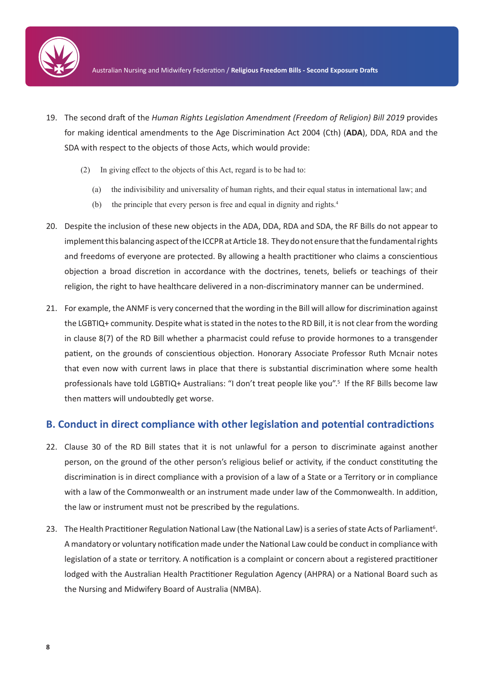

- 19. The second draft of the *Human Rights Legislation Amendment (Freedom of Religion) Bill 2019* provides for making identical amendments to the Age Discrimination Act 2004 (Cth) (**ADA**), DDA, RDA and the SDA with respect to the objects of those Acts, which would provide:
	- (2) In giving effect to the objects of this Act, regard is to be had to:
		- (a) the indivisibility and universality of human rights, and their equal status in international law; and
		- (b) the principle that every person is free and equal in dignity and rights.4
- 20. Despite the inclusion of these new objects in the ADA, DDA, RDA and SDA, the RF Bills do not appear to implement this balancing aspect of the ICCPR at Article 18. They do not ensure that the fundamental rights and freedoms of everyone are protected. By allowing a health practitioner who claims a conscientious objection a broad discretion in accordance with the doctrines, tenets, beliefs or teachings of their religion, the right to have healthcare delivered in a non-discriminatory manner can be undermined.
- 21. For example, the ANMF is very concerned that the wording in the Bill will allow for discrimination against the LGBTIQ+ community. Despite what is stated in the notes to the RD Bill, it is not clear from the wording in clause 8(7) of the RD Bill whether a pharmacist could refuse to provide hormones to a transgender patient, on the grounds of conscientious objection. Honorary Associate Professor Ruth Mcnair notes that even now with current laws in place that there is substantial discrimination where some health professionals have told LGBTIQ+ Australians: "I don't treat people like you".<sup>5</sup> If the RF Bills become law then matters will undoubtedly get worse.

## **B. Conduct in direct compliance with other legislation and potential contradictions**

- 22. Clause 30 of the RD Bill states that it is not unlawful for a person to discriminate against another person, on the ground of the other person's religious belief or activity, if the conduct constituting the discrimination is in direct compliance with a provision of a law of a State or a Territory or in compliance with a law of the Commonwealth or an instrument made under law of the Commonwealth. In addition, the law or instrument must not be prescribed by the regulations.
- 23. The Health Practitioner Regulation National Law (the National Law) is a series of state Acts of Parliament<sup>6</sup>. A mandatory or voluntary notification made under the National Law could be conduct in compliance with legislation of a state or territory. A notification is a complaint or concern about a registered practitioner lodged with the Australian Health Practitioner Regulation Agency (AHPRA) or a National Board such as the Nursing and Midwifery Board of Australia (NMBA).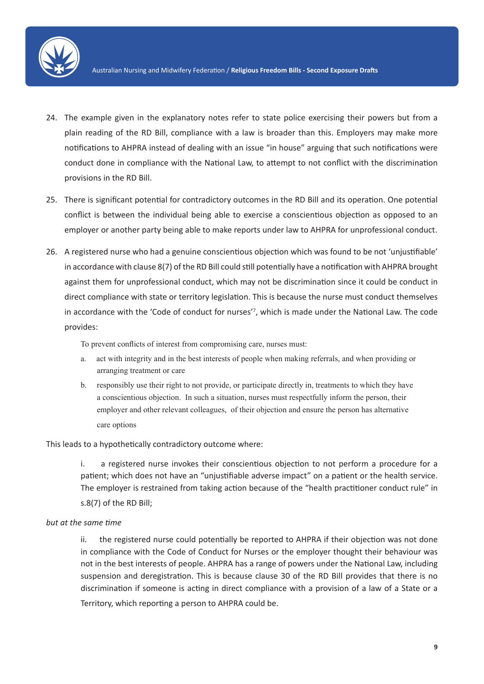

- 24. The example given in the explanatory notes refer to state police exercising their powers but from a plain reading of the RD Bill, compliance with a law is broader than this. Employers may make more notifications to AHPRA instead of dealing with an issue "in house" arguing that such notifications were conduct done in compliance with the National Law, to attempt to not conflict with the discrimination provisions in the RD Bill.
- 25. There is significant potential for contradictory outcomes in the RD Bill and its operation. One potential conflict is between the individual being able to exercise a conscientious objection as opposed to an employer or another party being able to make reports under law to AHPRA for unprofessional conduct.
- 26. A registered nurse who had a genuine conscientious objection which was found to be not 'unjustifiable' in accordance with clause 8(7) of the RD Bill could still potentially have a notification with AHPRA brought against them for unprofessional conduct, which may not be discrimination since it could be conduct in direct compliance with state or territory legislation. This is because the nurse must conduct themselves in accordance with the 'Code of conduct for nurses'<sup>7</sup> , which is made under the National Law. The code provides:

To prevent conflicts of interest from compromising care, nurses must:

- a. act with integrity and in the best interests of people when making referrals, and when providing or arranging treatment or care
- b. responsibly use their right to not provide, or participate directly in, treatments to which they have a conscientious objection. In such a situation, nurses must respectfully inform the person, their employer and other relevant colleagues, of their objection and ensure the person has alternative care options

This leads to a hypothetically contradictory outcome where:

i. a registered nurse invokes their conscientious objection to not perform a procedure for a patient; which does not have an "unjustifiable adverse impact" on a patient or the health service. The employer is restrained from taking action because of the "health practitioner conduct rule" in s.8(7) of the RD Bill;

#### *but at the same time*

ii. the registered nurse could potentially be reported to AHPRA if their objection was not done in compliance with the Code of Conduct for Nurses or the employer thought their behaviour was not in the best interests of people. AHPRA has a range of powers under the National Law, including suspension and deregistration. This is because clause 30 of the RD Bill provides that there is no discrimination if someone is acting in direct compliance with a provision of a law of a State or a Territory, which reporting a person to AHPRA could be.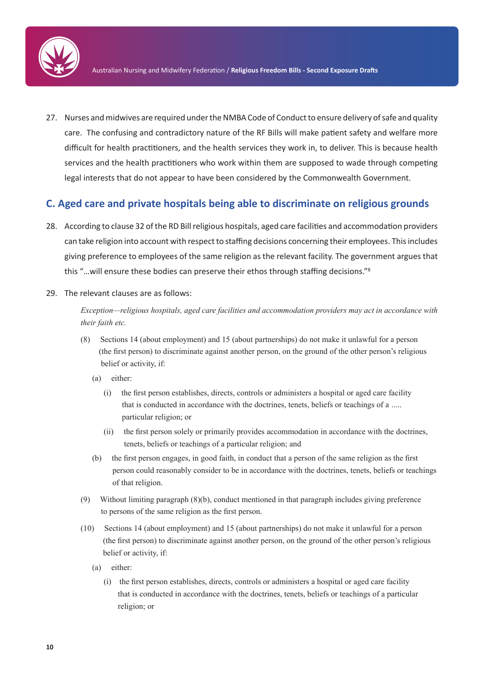

27. Nurses and midwives are required under the NMBA Code of Conduct to ensure delivery of safe and quality care. The confusing and contradictory nature of the RF Bills will make patient safety and welfare more difficult for health practitioners, and the health services they work in, to deliver. This is because health services and the health practitioners who work within them are supposed to wade through competing legal interests that do not appear to have been considered by the Commonwealth Government.

## **C. Aged care and private hospitals being able to discriminate on religious grounds**

- 28. According to clause 32 of the RD Bill religious hospitals, aged care facilities and accommodation providers can take religion into account with respect to staffing decisions concerning their employees. This includes giving preference to employees of the same religion as the relevant facility. The government argues that this "…will ensure these bodies can preserve their ethos through staffing decisions."<sup>8</sup>
- 29. The relevant clauses are as follows:

*Exception—religious hospitals, aged care facilities and accommodation providers may act in accordance with their faith etc.*

- (8) Sections 14 (about employment) and 15 (about partnerships) do not make it unlawful for a person (the first person) to discriminate against another person, on the ground of the other person's religious belief or activity, if:
	- (a) either:
		- (i) the first person establishes, directs, controls or administers a hospital or aged care facility that is conducted in accordance with the doctrines, tenets, beliefs or teachings of a ..... particular religion; or
		- (ii) the first person solely or primarily provides accommodation in accordance with the doctrines, tenets, beliefs or teachings of a particular religion; and
	- (b) the first person engages, in good faith, in conduct that a person of the same religion as the first person could reasonably consider to be in accordance with the doctrines, tenets, beliefs or teachings of that religion.
- (9) Without limiting paragraph (8)(b), conduct mentioned in that paragraph includes giving preference to persons of the same religion as the first person.
- (10) Sections 14 (about employment) and 15 (about partnerships) do not make it unlawful for a person (the first person) to discriminate against another person, on the ground of the other person's religious belief or activity, if:
	- (a) either:
		- (i) the first person establishes, directs, controls or administers a hospital or aged care facility that is conducted in accordance with the doctrines, tenets, beliefs or teachings of a particular religion; or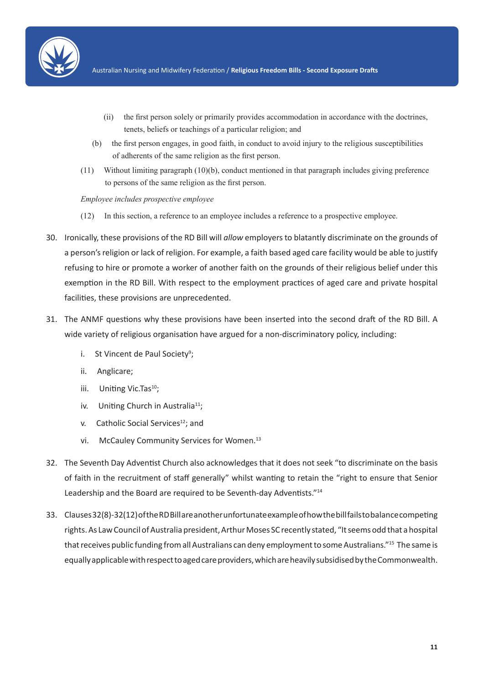

- (ii) the first person solely or primarily provides accommodation in accordance with the doctrines, tenets, beliefs or teachings of a particular religion; and
- (b) the first person engages, in good faith, in conduct to avoid injury to the religious susceptibilities of adherents of the same religion as the first person.
- (11) Without limiting paragraph (10)(b), conduct mentioned in that paragraph includes giving preference to persons of the same religion as the first person.

#### *Employee includes prospective employee*

- (12) In this section, a reference to an employee includes a reference to a prospective employee.
- 30. Ironically, these provisions of the RD Bill will *allow* employers to blatantly discriminate on the grounds of a person's religion or lack of religion. For example, a faith based aged care facility would be able to justify refusing to hire or promote a worker of another faith on the grounds of their religious belief under this exemption in the RD Bill. With respect to the employment practices of aged care and private hospital facilities, these provisions are unprecedented.
- 31. The ANMF questions why these provisions have been inserted into the second draft of the RD Bill. A wide variety of religious organisation have argued for a non-discriminatory policy, including:
	- i. St Vincent de Paul Society<sup>9</sup>;
	- ii. Anglicare;
	- iii. Uniting Vic.Tas<sup>10</sup>;
	- iv. Uniting Church in Australia<sup>11</sup>;
	- v. Catholic Social Services<sup>12</sup>; and
	- vi. McCauley Community Services for Women.<sup>13</sup>
- 32. The Seventh Day Adventist Church also acknowledges that it does not seek "to discriminate on the basis of faith in the recruitment of staff generally" whilst wanting to retain the "right to ensure that Senior Leadership and the Board are required to be Seventh-day Adventists."<sup>14</sup>
- 33. Clauses 32(8)-32(12) of the RD Bill are another unfortunate example of how the bill fails to balance competing rights. As Law Council of Australia president, Arthur Moses SC recently stated, "It seems odd that a hospital that receives public funding from all Australians can deny employment to some Australians."<sup>15</sup> The same is equally applicable with respect to aged care providers, which are heavily subsidised by the Commonwealth.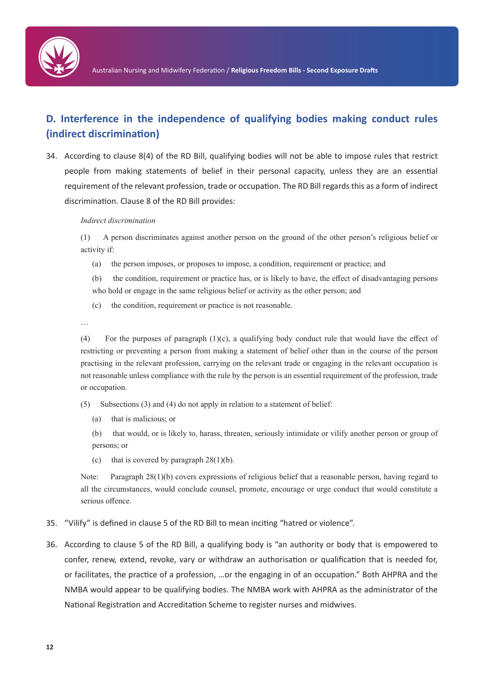

# **D. Interference in the independence of qualifying bodies making conduct rules (indirect discrimination)**

34. According to clause 8(4) of the RD Bill, qualifying bodies will not be able to impose rules that restrict people from making statements of belief in their personal capacity, unless they are an essential requirement of the relevant profession, trade or occupation. The RD Bill regards this as a form of indirect discrimination. Clause 8 of the RD Bill provides:

#### *Indirect discrimination*

(1) A person discriminates against another person on the ground of the other person's religious belief or activity if:

(a) the person imposes, or proposes to impose, a condition, requirement or practice; and

(b) the condition, requirement or practice has, or is likely to have, the effect of disadvantaging persons who hold or engage in the same religious belief or activity as the other person; and

(c) the condition, requirement or practice is not reasonable.

…

(4) For the purposes of paragraph (1)(c), a qualifying body conduct rule that would have the effect of restricting or preventing a person from making a statement of belief other than in the course of the person practising in the relevant profession, carrying on the relevant trade or engaging in the relevant occupation is not reasonable unless compliance with the rule by the person is an essential requirement of the profession, trade or occupation.

- (5) Subsections (3) and (4) do not apply in relation to a statement of belief:
	- (a) that is malicious; or

(b) that would, or is likely to, harass, threaten, seriously intimidate or vilify another person or group of persons; or

(c) that is covered by paragraph  $28(1)(b)$ .

Note: Paragraph 28(1)(b) covers expressions of religious belief that a reasonable person, having regard to all the circumstances, would conclude counsel, promote, encourage or urge conduct that would constitute a serious offence.

- 35. "Vilify" is defined in clause 5 of the RD Bill to mean inciting "hatred or violence".
- 36. According to clause 5 of the RD Bill, a qualifying body is "an authority or body that is empowered to confer, renew, extend, revoke, vary or withdraw an authorisation or qualification that is needed for, or facilitates, the practice of a profession, …or the engaging in of an occupation." Both AHPRA and the NMBA would appear to be qualifying bodies. The NMBA work with AHPRA as the administrator of the National Registration and Accreditation Scheme to register nurses and midwives.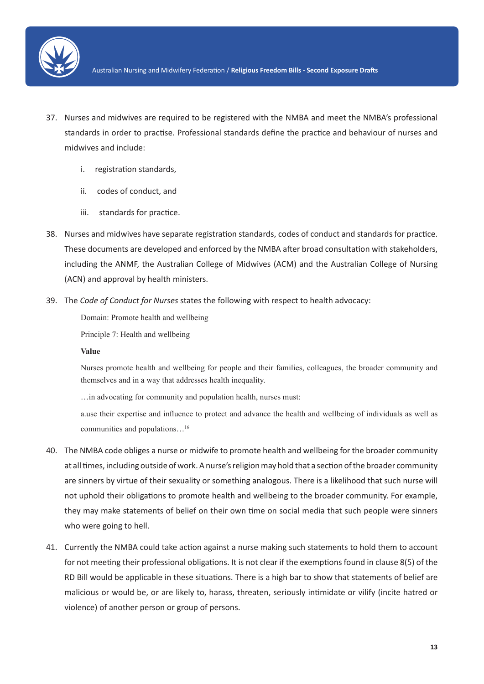

- 37. Nurses and midwives are required to be registered with the NMBA and meet the NMBA's professional standards in order to practise. Professional standards define the practice and behaviour of nurses and midwives and include:
	- i. registration standards,
	- ii. codes of conduct, and
	- iii. standards for practice.
- 38. Nurses and midwives have separate registration standards, codes of conduct and standards for practice. These documents are developed and enforced by the NMBA after broad consultation with stakeholders, including the ANMF, the Australian College of Midwives (ACM) and the Australian College of Nursing (ACN) and approval by health ministers.
- 39. The *Code of Conduct for Nurses* states the following with respect to health advocacy:

Domain: Promote health and wellbeing

Principle 7: Health and wellbeing

#### **Value**

Nurses promote health and wellbeing for people and their families, colleagues, the broader community and themselves and in a way that addresses health inequality.

…in advocating for community and population health, nurses must:

a.use their expertise and influence to protect and advance the health and wellbeing of individuals as well as communities and populations…16

- 40. The NMBA code obliges a nurse or midwife to promote health and wellbeing for the broader community at all times, including outside of work. A nurse's religion may hold that a section of the broader community are sinners by virtue of their sexuality or something analogous. There is a likelihood that such nurse will not uphold their obligations to promote health and wellbeing to the broader community. For example, they may make statements of belief on their own time on social media that such people were sinners who were going to hell.
- 41. Currently the NMBA could take action against a nurse making such statements to hold them to account for not meeting their professional obligations. It is not clear if the exemptions found in clause 8(5) of the RD Bill would be applicable in these situations. There is a high bar to show that statements of belief are malicious or would be, or are likely to, harass, threaten, seriously intimidate or vilify (incite hatred or violence) of another person or group of persons.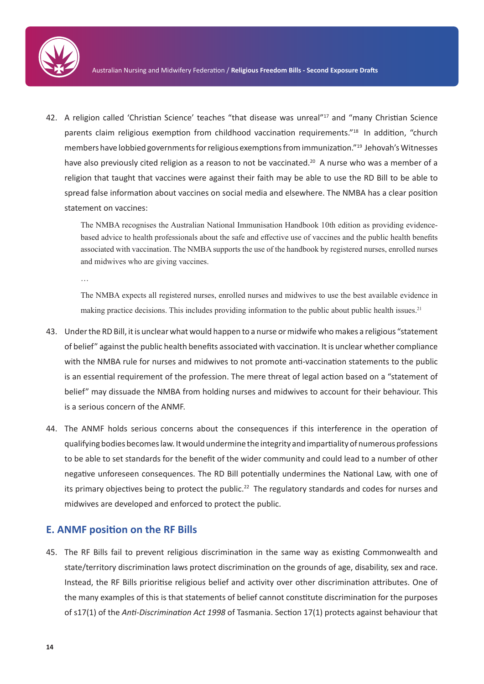

42. A religion called 'Christian Science' teaches "that disease was unreal"<sup>17</sup> and "many Christian Science parents claim religious exemption from childhood vaccination requirements."<sup>18</sup> In addition, "church members have lobbied governments for religious exemptions from immunization."<sup>19</sup> Jehovah's Witnesses have also previously cited religion as a reason to not be vaccinated.<sup>20</sup> A nurse who was a member of a religion that taught that vaccines were against their faith may be able to use the RD Bill to be able to spread false information about vaccines on social media and elsewhere. The NMBA has a clear position statement on vaccines:

The NMBA recognises the Australian National Immunisation Handbook 10th edition as providing evidencebased advice to health professionals about the safe and effective use of vaccines and the public health benefits associated with vaccination. The NMBA supports the use of the handbook by registered nurses, enrolled nurses and midwives who are giving vaccines.

…

The NMBA expects all registered nurses, enrolled nurses and midwives to use the best available evidence in making practice decisions. This includes providing information to the public about public health issues.<sup>21</sup>

- 43. Under the RD Bill, it is unclear what would happen to a nurse or midwife who makes a religious "statement of belief" against the public health benefits associated with vaccination. It is unclear whether compliance with the NMBA rule for nurses and midwives to not promote anti-vaccination statements to the public is an essential requirement of the profession. The mere threat of legal action based on a "statement of belief" may dissuade the NMBA from holding nurses and midwives to account for their behaviour. This is a serious concern of the ANMF.
- 44. The ANMF holds serious concerns about the consequences if this interference in the operation of qualifying bodies becomes law. It would undermine the integrity and impartiality of numerous professions to be able to set standards for the benefit of the wider community and could lead to a number of other negative unforeseen consequences. The RD Bill potentially undermines the National Law, with one of its primary objectives being to protect the public.<sup>22</sup> The regulatory standards and codes for nurses and midwives are developed and enforced to protect the public.

## **E. ANMF position on the RF Bills**

45. The RF Bills fail to prevent religious discrimination in the same way as existing Commonwealth and state/territory discrimination laws protect discrimination on the grounds of age, disability, sex and race. Instead, the RF Bills prioritise religious belief and activity over other discrimination attributes. One of the many examples of this is that statements of belief cannot constitute discrimination for the purposes of s17(1) of the *Anti-Discrimination Act 1998* of Tasmania. Section 17(1) protects against behaviour that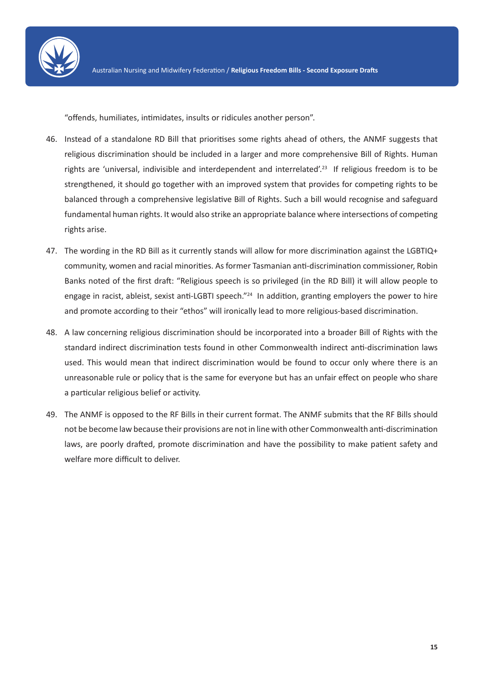

"offends, humiliates, intimidates, insults or ridicules another person".

- 46. Instead of a standalone RD Bill that prioritises some rights ahead of others, the ANMF suggests that religious discrimination should be included in a larger and more comprehensive Bill of Rights. Human rights are 'universal, indivisible and interdependent and interrelated'.<sup>23</sup> If religious freedom is to be strengthened, it should go together with an improved system that provides for competing rights to be balanced through a comprehensive legislative Bill of Rights. Such a bill would recognise and safeguard fundamental human rights. It would also strike an appropriate balance where intersections of competing rights arise.
- 47. The wording in the RD Bill as it currently stands will allow for more discrimination against the LGBTIQ+ community, women and racial minorities. As former Tasmanian anti-discrimination commissioner, Robin Banks noted of the first draft: "Religious speech is so privileged (in the RD Bill) it will allow people to engage in racist, ableist, sexist anti-LGBTI speech."<sup>24</sup> In addition, granting employers the power to hire and promote according to their "ethos" will ironically lead to more religious-based discrimination.
- 48. A law concerning religious discrimination should be incorporated into a broader Bill of Rights with the standard indirect discrimination tests found in other Commonwealth indirect anti-discrimination laws used. This would mean that indirect discrimination would be found to occur only where there is an unreasonable rule or policy that is the same for everyone but has an unfair effect on people who share a particular religious belief or activity.
- 49. The ANMF is opposed to the RF Bills in their current format. The ANMF submits that the RF Bills should not be become law because their provisions are not in line with other Commonwealth anti-discrimination laws, are poorly drafted, promote discrimination and have the possibility to make patient safety and welfare more difficult to deliver.